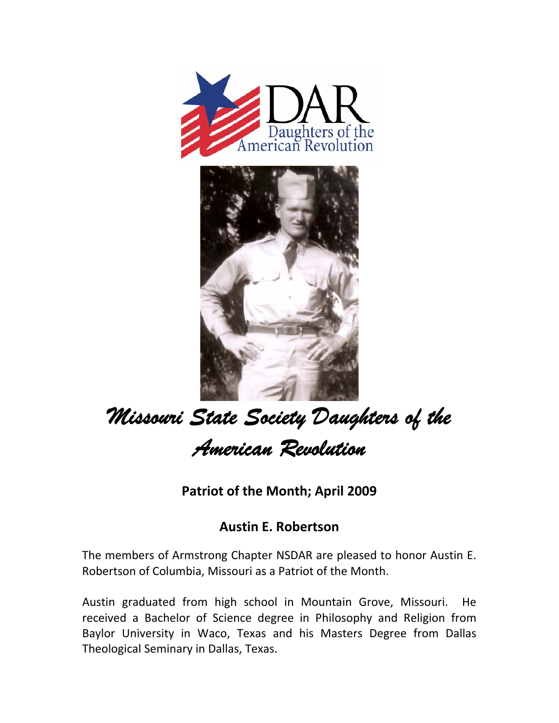



## *Missouri State Society Daughters of the American Revolution*

**Patriot of the Month; April 2009**

## **Austin E. Robertson**

The members of Armstrong Chapter NSDAR are pleased to honor Austin E. Robertson of Columbia, Missouri as a Patriot of the Month.

Austin graduated from high school in Mountain Grove, Missouri. He received a Bachelor of Science degree in Philosophy and Religion from Baylor University in Waco, Texas and his Masters Degree from Dallas Theological Seminary in Dallas, Texas.